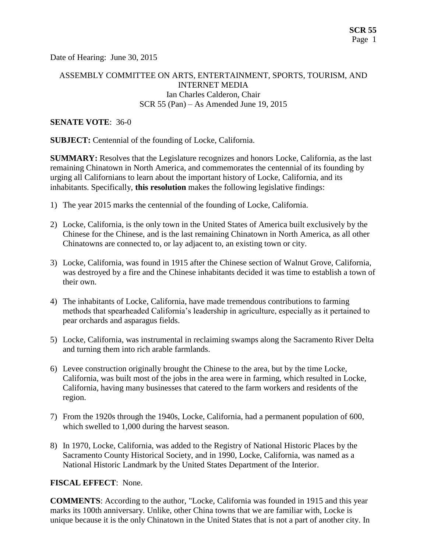Date of Hearing: June 30, 2015

## ASSEMBLY COMMITTEE ON ARTS, ENTERTAINMENT, SPORTS, TOURISM, AND INTERNET MEDIA Ian Charles Calderon, Chair SCR 55 (Pan) – As Amended June 19, 2015

#### **SENATE VOTE**: 36-0

**SUBJECT:** Centennial of the founding of Locke, California.

**SUMMARY:** Resolves that the Legislature recognizes and honors Locke, California, as the last remaining Chinatown in North America, and commemorates the centennial of its founding by urging all Californians to learn about the important history of Locke, California, and its inhabitants. Specifically, **this resolution** makes the following legislative findings:

- 1) The year 2015 marks the centennial of the founding of Locke, California.
- 2) Locke, California, is the only town in the United States of America built exclusively by the Chinese for the Chinese, and is the last remaining Chinatown in North America, as all other Chinatowns are connected to, or lay adjacent to, an existing town or city.
- 3) Locke, California, was found in 1915 after the Chinese section of Walnut Grove, California, was destroyed by a fire and the Chinese inhabitants decided it was time to establish a town of their own.
- 4) The inhabitants of Locke, California, have made tremendous contributions to farming methods that spearheaded California's leadership in agriculture, especially as it pertained to pear orchards and asparagus fields.
- 5) Locke, California, was instrumental in reclaiming swamps along the Sacramento River Delta and turning them into rich arable farmlands.
- 6) Levee construction originally brought the Chinese to the area, but by the time Locke, California, was built most of the jobs in the area were in farming, which resulted in Locke, California, having many businesses that catered to the farm workers and residents of the region.
- 7) From the 1920s through the 1940s, Locke, California, had a permanent population of 600, which swelled to 1,000 during the harvest season.
- 8) In 1970, Locke, California, was added to the Registry of National Historic Places by the Sacramento County Historical Society, and in 1990, Locke, California, was named as a National Historic Landmark by the United States Department of the Interior.

### **FISCAL EFFECT**: None.

**COMMENTS**: According to the author, "Locke, California was founded in 1915 and this year marks its 100th anniversary. Unlike, other China towns that we are familiar with, Locke is unique because it is the only Chinatown in the United States that is not a part of another city. In